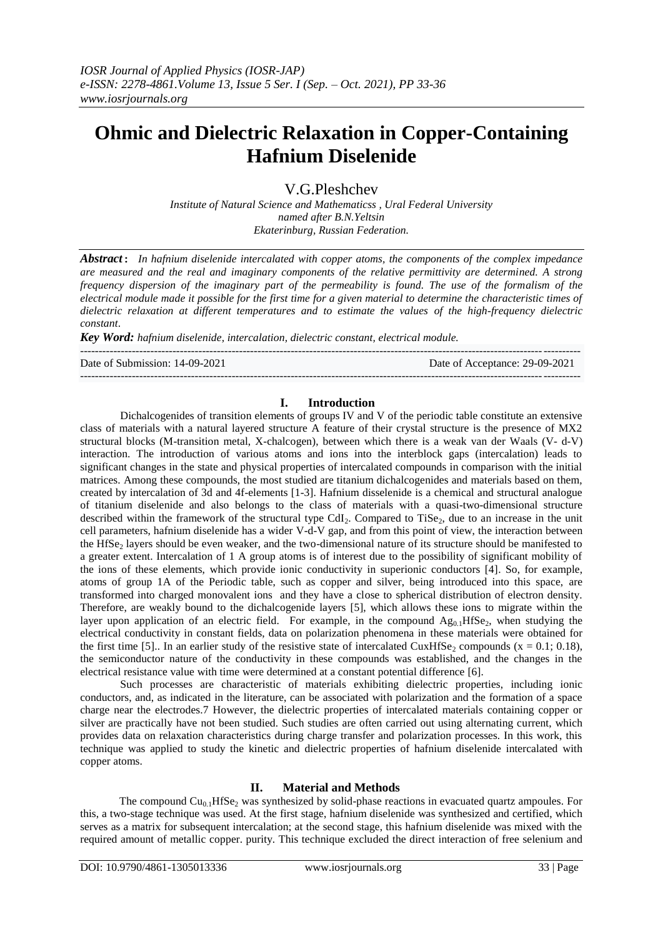# **Ohmic and Dielectric Relaxation in Copper-Containing Hafnium Diselenide**

V.G.Pleshchev

*Institute of Natural Science and Mathematicss , Ural Federal University named after B.N.Yeltsin Ekaterinburg, Russian Federation.*

*Abstract*: *In hafnium diselenide intercalated with copper atoms, the components of the complex impedance are measured and the real and imaginary components of the relative permittivity are determined. A strong frequency dispersion of the imaginary part of the permeability is found. The use of the formalism of the electrical module made it possible for the first time for a given material to determine the characteristic times of dielectric relaxation at different temperatures and to estimate the values of the high-frequency dielectric constant*.

*Key Word: hafnium diselenide, intercalation, dielectric constant, electrical module.*

Date of Submission: 14-09-2021 Date of Acceptance: 29-09-2021

## **I. Introduction**

---------------------------------------------------------------------------------------------------------------------------------------

---------------------------------------------------------------------------------------------------------------------------------------

Dichalcogenides of transition elements of groups IV and V of the periodic table constitute an extensive class of materials with a natural layered structure A feature of their crystal structure is the presence of MX2 structural blocks (M-transition metal, X-chalcogen), between which there is a weak van der Waals (V- d-V) interaction. The introduction of various atoms and ions into the interblock gaps (intercalation) leads to significant changes in the state and physical properties of intercalated compounds in comparison with the initial matrices. Among these compounds, the most studied are titanium dichalcogenides and materials based on them, created by intercalation of 3d and 4f-elements [1-3]. Hafnium disselenide is a chemical and structural analogue of titanium diselenide and also belongs to the class of materials with a quasi-two-dimensional structure described within the framework of the structural type CdI<sub>2</sub>. Compared to TiSe<sub>2</sub>, due to an increase in the unit cell parameters, hafnium diselenide has a wider V-d-V gap, and from this point of view, the interaction between the HfSe<sub>2</sub> layers should be even weaker, and the two-dimensional nature of its structure should be manifested to a greater extent. Intercalation of 1 A group atoms is of interest due to the possibility of significant mobility of the ions of these elements, which provide ionic conductivity in superionic conductors [4]. So, for example, atoms of group 1A of the Periodic table, such as copper and silver, being introduced into this space, are transformed into charged monovalent ions and they have a close to spherical distribution of electron density. Therefore, are weakly bound to the dichalcogenide layers [5], which allows these ions to migrate within the layer upon application of an electric field. For example, in the compound  $Ag_{0,1}HfSe_{2}$ , when studying the electrical conductivity in constant fields, data on polarization phenomena in these materials were obtained for the first time [5].. In an earlier study of the resistive state of intercalated CuxHfSe<sub>2</sub> compounds (x = 0.1; 0.18), the semiconductor nature of the conductivity in these compounds was established, and the changes in the electrical resistance value with time were determined at a constant potential difference [6].

Such processes are characteristic of materials exhibiting dielectric properties, including ionic conductors, and, as indicated in the literature, can be associated with polarization and the formation of a space charge near the electrodes.7 However, the dielectric properties of intercalated materials containing copper or silver are practically have not been studied. Such studies are often carried out using alternating current, which provides data on relaxation characteristics during charge transfer and polarization processes. In this work, this technique was applied to study the kinetic and dielectric properties of hafnium diselenide intercalated with copper atoms.

### **II. Material and Methods**

The compound  $Cu<sub>0.1</sub>HfSe<sub>2</sub>$  was synthesized by solid-phase reactions in evacuated quartz ampoules. For this, a two-stage technique was used. At the first stage, hafnium diselenide was synthesized and certified, which serves as a matrix for subsequent intercalation; at the second stage, this hafnium diselenide was mixed with the required amount of metallic copper. purity. This technique excluded the direct interaction of free selenium and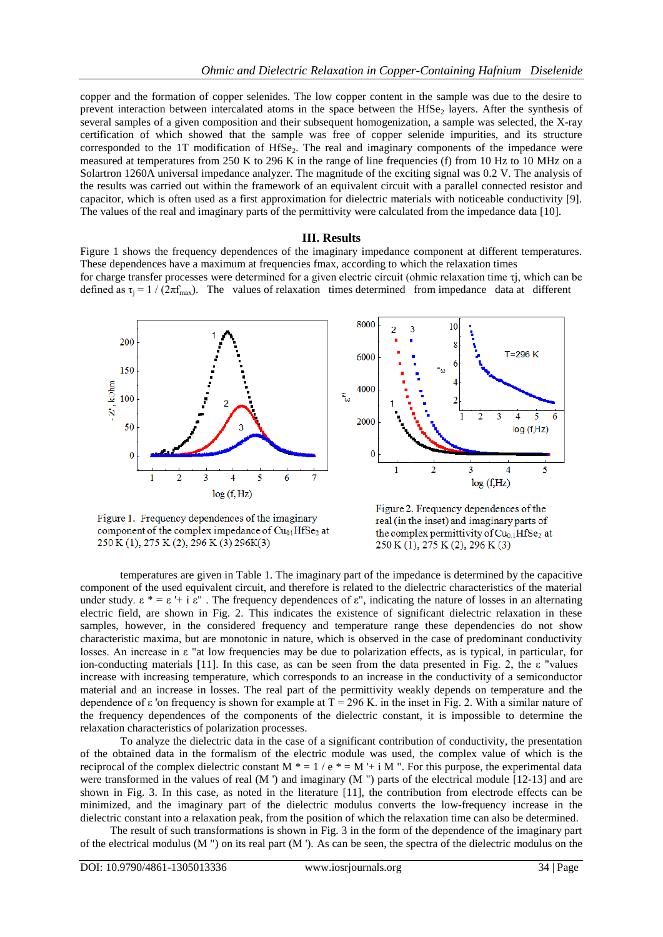copper and the formation of copper selenides. The low copper content in the sample was due to the desire to prevent interaction between intercalated atoms in the space between the HfSe<sub>2</sub> layers. After the synthesis of several samples of a given composition and their subsequent homogenization, a sample was selected, the X-ray certification of which showed that the sample was free of copper selenide impurities, and its structure corresponded to the 1T modification of HfSe<sub>2</sub>. The real and imaginary components of the impedance were measured at temperatures from 250 K to 296 K in the range of line frequencies (f) from 10 Hz to 10 MHz on a Solartron 1260A universal impedance analyzer. The magnitude of the exciting signal was 0.2 V. The analysis of the results was carried out within the framework of an equivalent circuit with a parallel connected resistor and capacitor, which is often used as a first approximation for dielectric materials with noticeable conductivity [9]. The values of the real and imaginary parts of the permittivity were calculated from the impedance data [10].

#### **III. Results**

Figure 1 shows the frequency dependences of the imaginary impedance component at different temperatures. These dependences have a maximum at frequencies fmax, according to which the relaxation times for charge transfer processes were determined for a given electric circuit (ohmic relaxation time τj, which can be defined as  $\tau_i = 1 / (2\pi f_{\text{max}})$ . The values of relaxation times determined from impedance data at different





Figure 1. Frequency dependences of the imaginary component of the complex impedance of  $Cu<sub>01</sub>HfSe<sub>2</sub>$  at 250 K (1), 275 K (2), 296 K (3) 296 K(3)

Figure 2. Frequency dependences of the real (in the inset) and imaginary parts of the complex permittivity of  $Cu<sub>01</sub>HfSe<sub>2</sub>$  at 250 K (1), 275 K (2), 296 K (3)

temperatures are given in Table 1. The imaginary part of the impedance is determined by the capacitive component of the used equivalent circuit, and therefore is related to the dielectric characteristics of the material under study.  $\epsilon^* = \epsilon + i \epsilon^*$ . The frequency dependences of  $\epsilon^*$ , indicating the nature of losses in an alternating electric field, are shown in Fig. 2. This indicates the existence of significant dielectric relaxation in these samples, however, in the considered frequency and temperature range these dependencies do not show characteristic maxima, but are monotonic in nature, which is observed in the case of predominant conductivity losses. An increase in ε "at low frequencies may be due to polarization effects, as is typical, in particular, for ion-conducting materials [11]. In this case, as can be seen from the data presented in Fig. 2, the ε "values increase with increasing temperature, which corresponds to an increase in the conductivity of a semiconductor material and an increase in losses. The real part of the permittivity weakly depends on temperature and the dependence of ε 'on frequency is shown for example at  $T = 296$  K, in the inset in Fig. 2. With a similar nature of the frequency dependences of the components of the dielectric constant, it is impossible to determine the relaxation characteristics of polarization processes.

To analyze the dielectric data in the case of a significant contribution of conductivity, the presentation of the obtained data in the formalism of the electric module was used, the complex value of which is the reciprocal of the complex dielectric constant M  $* = 1 / e * = M + i M$  ". For this purpose, the experimental data were transformed in the values of real (M ') and imaginary (M '') parts of the electrical module [12-13] and are shown in Fig. 3. In this case, as noted in the literature [11], the contribution from electrode effects can be minimized, and the imaginary part of the dielectric modulus converts the low-frequency increase in the dielectric constant into a relaxation peak, from the position of which the relaxation time can also be determined.

The result of such transformations is shown in Fig. 3 in the form of the dependence of the imaginary part of the electrical modulus (M  $"$ ) on its real part (M  $"$ ). As can be seen, the spectra of the dielectric modulus on the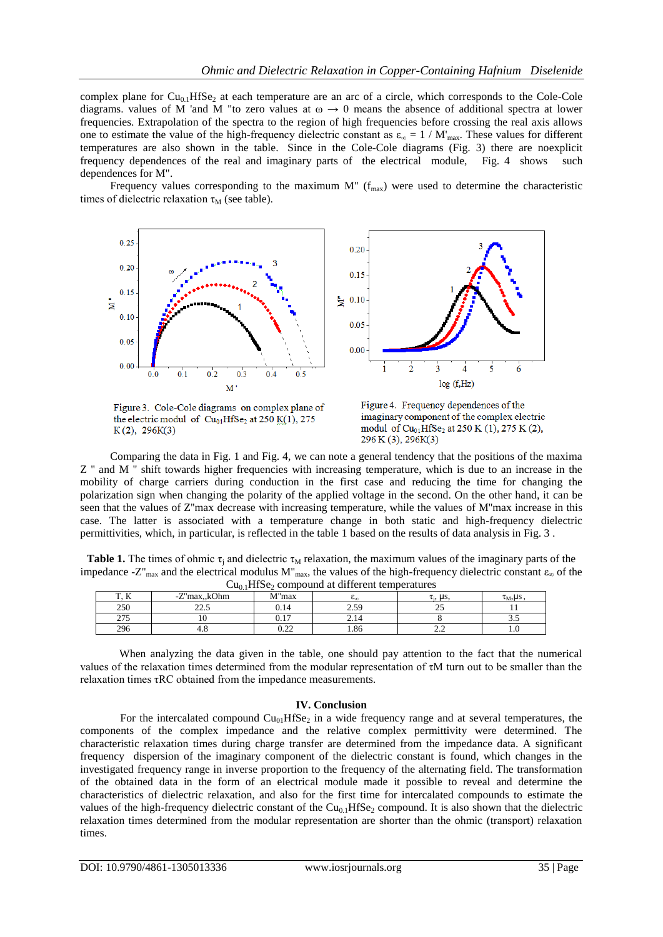complex plane for  $Cu<sub>0.1</sub>HfSe<sub>2</sub>$  at each temperature are an arc of a circle, which corresponds to the Cole-Cole diagrams. values of M 'and M "to zero values at  $\omega \to 0$  means the absence of additional spectra at lower frequencies. Extrapolation of the spectra to the region of high frequencies before crossing the real axis allows one to estimate the value of the high-frequency dielectric constant as  $\varepsilon_{\infty} = 1 / M'_{\max}$ . These values for different temperatures are also shown in the table. Since in the Cole-Cole diagrams (Fig. 3) there are noexplicit frequency dependences of the real and imaginary parts of the electrical module, Fig. 4 shows such dependences for M".

Frequency values corresponding to the maximum  $M''$  ( $f_{max}$ ) were used to determine the characteristic times of dielectric relaxation  $\tau_M$  (see table).



Figure 3. Cole-Cole diagrams on complex plane of the electric modul of  $Cu<sub>01</sub>HfSe<sub>2</sub>$  at 250 K(1), 275  $K(2)$ , 296 $K(3)$ 

Figure 4. Frequency dependences of the imaginary component of the complex electric modul of  $Cu_{01}HfSe_2$  at 250 K (1), 275 K (2),  $296 K (3), 296 K(3)$ 

Comparing the data in Fig. 1 and Fig. 4, we can note a general tendency that the positions of the maxima Z '' and M '' shift towards higher frequencies with increasing temperature, which is due to an increase in the mobility of charge carriers during conduction in the first case and reducing the time for changing the polarization sign when changing the polarity of the applied voltage in the second. On the other hand, it can be seen that the values of Z''max decrease with increasing temperature, while the values of M''max increase in this case. The latter is associated with a temperature change in both static and high-frequency dielectric permittivities, which, in particular, is reflected in the table 1 based on the results of data analysis in Fig. 3 .

**Table 1.** The times of ohmic  $\tau_i$  and dielectric  $\tau_M$  relaxation, the maximum values of the imaginary parts of the impedance -Z"<sub>max</sub> and the electrical modulus M"<sub>max</sub>, the values of the high-frequency dielectric constant  $\epsilon_{\infty}$  of the  $Cu<sub>0.1</sub>HfSe<sub>2</sub>$  compound at different temperatures

| T <sub>0</sub><br>$\overline{1}$ | -Z"max,,kOhm            | M"max                 | $\mathcal{L}_{\text{m}}$ and $\mathcal{L}_{\text{m}}$ composition are different component of<br><b>G</b> <sub>nn</sub> | τ, μs.   | $\tau_M$ , US |
|----------------------------------|-------------------------|-----------------------|------------------------------------------------------------------------------------------------------------------------|----------|---------------|
| 250                              | $\sim$ $\sim$<br>ر. ۔ ے | 0.14                  | 2.50<br>ر د.پ                                                                                                          | ت        |               |
| 275<br>ر رے                      |                         | $^{\circ}$ 17<br>v. i | 2.14                                                                                                                   |          | ن.ر           |
| 296                              | т.с                     | $\sim$<br>0.44        | 1.86                                                                                                                   | <u>.</u> | $\cdot$       |

When analyzing the data given in the table, one should pay attention to the fact that the numerical values of the relaxation times determined from the modular representation of τM turn out to be smaller than the relaxation times τRC obtained from the impedance measurements.

#### **IV. Conclusion**

For the intercalated compound  $Cu<sub>01</sub>HfSe<sub>2</sub>$  in a wide frequency range and at several temperatures, the components of the complex impedance and the relative complex permittivity were determined. The characteristic relaxation times during charge transfer are determined from the impedance data. A significant frequency dispersion of the imaginary component of the dielectric constant is found, which changes in the investigated frequency range in inverse proportion to the frequency of the alternating field. The transformation of the obtained data in the form of an electrical module made it possible to reveal and determine the characteristics of dielectric relaxation, and also for the first time for intercalated compounds to estimate the values of the high-frequency dielectric constant of the  $Cu_{0.1}HfSe_2$  compound. It is also shown that the dielectric relaxation times determined from the modular representation are shorter than the ohmic (transport) relaxation times.